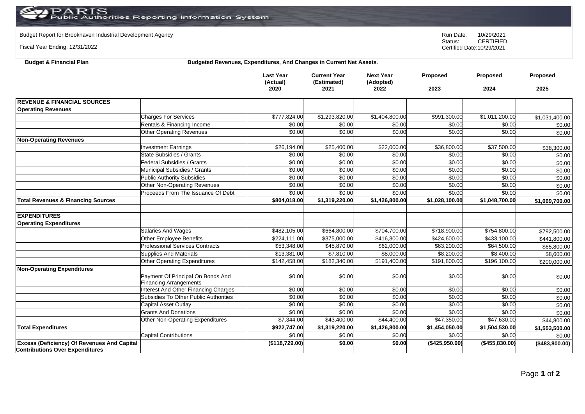Budget Report for Brookhaven Industrial Development Agency<br>
Status: CERTIFIED

Fiscal Year Ending: 12/31/2022

**Budget & Financial Plan** 

CERTIFIED Certified Date:10/29/2021

| Budgeted Revenues. Expenditures. And Changes in Current Net Assets. |  |  |  |  |
|---------------------------------------------------------------------|--|--|--|--|
|                                                                     |  |  |  |  |

|                                                                                              |                                                                       | <b>Last Year</b><br>(Actual)<br>2020 | <b>Current Year</b><br>(Estimated)<br>2021 | <b>Next Year</b><br>(Adopted)<br>2022 | Proposed<br>2023       | Proposed<br>2024 | Proposed<br>2025 |
|----------------------------------------------------------------------------------------------|-----------------------------------------------------------------------|--------------------------------------|--------------------------------------------|---------------------------------------|------------------------|------------------|------------------|
| <b>REVENUE &amp; FINANCIAL SOURCES</b>                                                       |                                                                       |                                      |                                            |                                       |                        |                  |                  |
| <b>Operating Revenues</b>                                                                    |                                                                       |                                      |                                            |                                       |                        |                  |                  |
|                                                                                              | <b>Charges For Services</b>                                           | \$777,824.00                         | \$1,293,820.00                             | \$1,404,800.00                        | \$991,300.00           | \$1,011,200.00   | \$1,031,400.00   |
|                                                                                              | Rentals & Financing Income                                            | \$0.00                               | \$0.00                                     | \$0.00                                | \$0.00                 | \$0.00           | \$0.00           |
|                                                                                              | <b>Other Operating Revenues</b>                                       | \$0.00                               | \$0.00                                     | \$0.00                                | \$0.00                 | \$0.00           | \$0.00           |
| <b>Non-Operating Revenues</b>                                                                |                                                                       |                                      |                                            |                                       |                        |                  |                  |
|                                                                                              | <b>Investment Earnings</b>                                            | \$26,194.00                          | \$25,400.00                                | \$22,000.00                           | \$36,800.00            | \$37,500.00      | \$38,300.00      |
|                                                                                              | State Subsidies / Grants                                              | \$0.00                               | \$0.00                                     | \$0.00                                | \$0.00                 | \$0.00           | \$0.00           |
|                                                                                              | <b>Federal Subsidies / Grants</b>                                     | \$0.00                               | \$0.00                                     | \$0.00                                | \$0.00                 | \$0.00           | \$0.00           |
|                                                                                              | Municipal Subsidies / Grants                                          | \$0.00                               | \$0.00                                     | \$0.00                                | \$0.00                 | \$0.00           | \$0.00           |
|                                                                                              | <b>Public Authority Subsidies</b>                                     | \$0.00                               | \$0.00                                     | \$0.00                                | \$0.00                 | \$0.00           | \$0.00           |
|                                                                                              | Other Non-Operating Revenues                                          | \$0.00                               | \$0.00                                     | \$0.00                                | \$0.00                 | \$0.00           | \$0.00           |
|                                                                                              | Proceeds From The Issuance Of Debt                                    | \$0.00                               | \$0.00                                     | \$0.00                                | \$0.00                 | \$0.00           | \$0.00           |
| <b>Total Revenues &amp; Financing Sources</b>                                                |                                                                       | \$804,018.00                         | \$1,319,220.00                             | \$1,426,800.00                        | \$1,028,100.00         | \$1,048,700.00   | \$1,069,700.00   |
| <b>EXPENDITURES</b>                                                                          |                                                                       |                                      |                                            |                                       |                        |                  |                  |
| <b>Operating Expenditures</b>                                                                |                                                                       |                                      |                                            |                                       |                        |                  |                  |
|                                                                                              | Salaries And Wages                                                    | \$482,105.00                         | \$664,800.00                               | \$704,700.00                          | \$718,900.00           | \$754,800.00     | \$792,500.00     |
|                                                                                              | Other Employee Benefits                                               | \$224.111.00                         | \$375,000.00                               | \$416,300.00                          | \$424,600.00           | \$433,100.00     | \$441,800.00     |
|                                                                                              | <b>Professional Services Contracts</b>                                | \$53,348.00                          | \$45,870.00                                | \$62,000.00                           | \$63,200.00            | \$64,500.00      | \$65,800.00      |
|                                                                                              | Supplies And Materials                                                | \$13,381.00                          | \$7,810.00                                 | \$8,000.00                            | $\overline{$8,200.00}$ | \$8,400.00       | \$8,600.00       |
|                                                                                              | Other Operating Expenditures                                          | \$142,458.00                         | \$182,340.00                               | \$191,400.00                          | \$191,800.00           | \$196,100.00     | \$200,000.00     |
| <b>Non-Operating Expenditures</b>                                                            |                                                                       |                                      |                                            |                                       |                        |                  |                  |
|                                                                                              | Payment Of Principal On Bonds And                                     | \$0.00                               | \$0.00                                     | \$0.00                                | \$0.00                 | \$0.00           | \$0.00           |
|                                                                                              | <b>Financing Arrangements</b><br>Interest And Other Financing Charges | \$0.00                               | \$0.00                                     | \$0.00                                | \$0.00                 | \$0.00           | \$0.00           |
|                                                                                              | Subsidies To Other Public Authorities                                 | \$0.00                               | \$0.00                                     | \$0.00                                | \$0.00                 | \$0.00           | \$0.00           |
|                                                                                              | Capital Asset Outlay                                                  | \$0.00                               | \$0.00                                     | \$0.00                                | \$0.00                 | \$0.00           | \$0.00           |
|                                                                                              | <b>Grants And Donations</b>                                           | \$0.00                               | \$0.00                                     | \$0.00                                | \$0.00                 | \$0.00           | \$0.00           |
|                                                                                              | Other Non-Operating Expenditures                                      | \$7,344.00                           | \$43,400.00                                | \$44,400.00                           | \$47,350.00            | \$47,630.00      | \$44,800.00      |
| <b>Total Expenditures</b>                                                                    |                                                                       | \$922,747.00                         | \$1,319,220.00                             | \$1,426,800.00                        | \$1,454,050.00         | \$1,504,530.00   | \$1,553,500.00   |
|                                                                                              | <b>Capital Contributions</b>                                          | \$0.00                               | \$0.00                                     | \$0.00                                | \$0.00                 | \$0.00           | \$0.00           |
| <b>Excess (Deficiency) Of Revenues And Capital</b><br><b>Contributions Over Expenditures</b> |                                                                       | (\$118,729.00)                       | \$0.00                                     | \$0.00                                | (\$425,950.00)         | (\$455,830.00)   | (\$483,800.00)   |